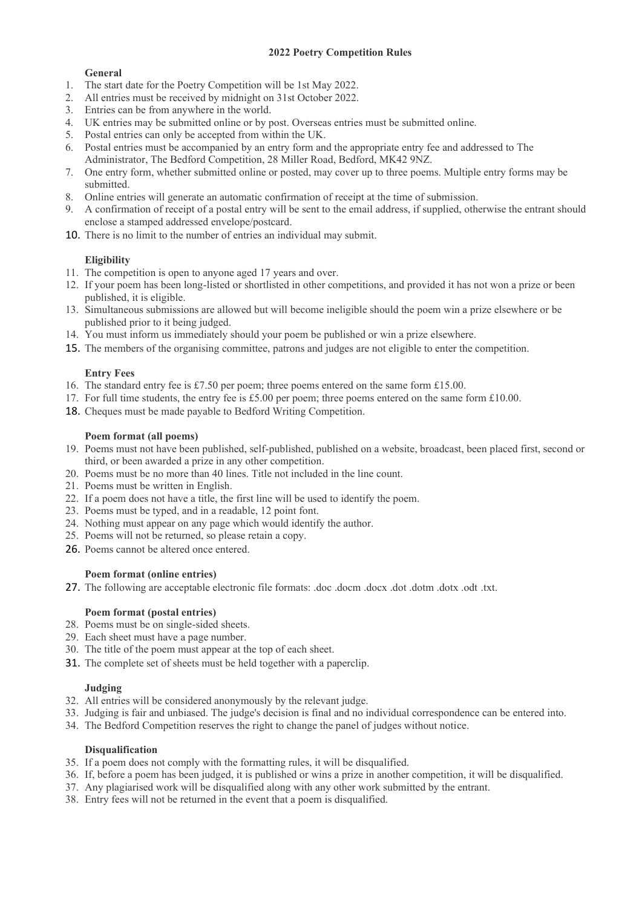# **2022 Poetry Competition Rules**

## **General**

- 1. The start date for the Poetry Competition will be 1st May 2022.
- 2. All entries must be received by midnight on 31st October 2022.
- 3. Entries can be from anywhere in the world.
- 4. UK entries may be submitted online or by post. Overseas entries must be submitted online.
- 5. Postal entries can only be accepted from within the UK.
- 6. Postal entries must be accompanied by an entry form and the appropriate entry fee and addressed to The Administrator, The Bedford Competition, 28 Miller Road, Bedford, MK42 9NZ.
- 7. One entry form, whether submitted online or posted, may cover up to three poems. Multiple entry forms may be submitted.
- 8. Online entries will generate an automatic confirmation of receipt at the time of submission.
- 9. A confirmation of receipt of a postal entry will be sent to the email address, if supplied, otherwise the entrant should enclose a stamped addressed envelope/postcard.
- 10. There is no limit to the number of entries an individual may submit.

# **Eligibility**

- 11. The competition is open to anyone aged 17 years and over.
- 12. If your poem has been long-listed or shortlisted in other competitions, and provided it has not won a prize or been published, it is eligible.
- 13. Simultaneous submissions are allowed but will become ineligible should the poem win a prize elsewhere or be published prior to it being judged.
- 14. You must inform us immediately should your poem be published or win a prize elsewhere.
- 15. The members of the organising committee, patrons and judges are not eligible to enter the competition.

### **Entry Fees**

- 16. The standard entry fee is £7.50 per poem; three poems entered on the same form £15.00.
- 17. For full time students, the entry fee is £5.00 per poem; three poems entered on the same form £10.00.
- 18. Cheques must be made payable to Bedford Writing Competition.

#### **Poem format (all poems)**

- 19. Poems must not have been published, self-published, published on a website, broadcast, been placed first, second or third, or been awarded a prize in any other competition.
- 20. Poems must be no more than 40 lines. Title not included in the line count.
- 21. Poems must be written in English.
- 22. If a poem does not have a title, the first line will be used to identify the poem.
- 23. Poems must be typed, and in a readable, 12 point font.
- 24. Nothing must appear on any page which would identify the author.
- 25. Poems will not be returned, so please retain a copy.
- 26. Poems cannot be altered once entered.

### **Poem format (online entries)**

27. The following are acceptable electronic file formats: .doc .docm .docx .dot .dotm .dotx .odt .txt.

### **Poem format (postal entries)**

- 28. Poems must be on single-sided sheets.
- 29. Each sheet must have a page number.
- 30. The title of the poem must appear at the top of each sheet.
- 31. The complete set of sheets must be held together with a paperclip.

### **Judging**

- 32. All entries will be considered anonymously by the relevant judge.
- 33. Judging is fair and unbiased. The judge's decision is final and no individual correspondence can be entered into.
- 34. The Bedford Competition reserves the right to change the panel of judges without notice.

### **Disqualification**

- 35. If a poem does not comply with the formatting rules, it will be disqualified.
- 36. If, before a poem has been judged, it is published or wins a prize in another competition, it will be disqualified.
- 37. Any plagiarised work will be disqualified along with any other work submitted by the entrant.
- 38. Entry fees will not be returned in the event that a poem is disqualified.